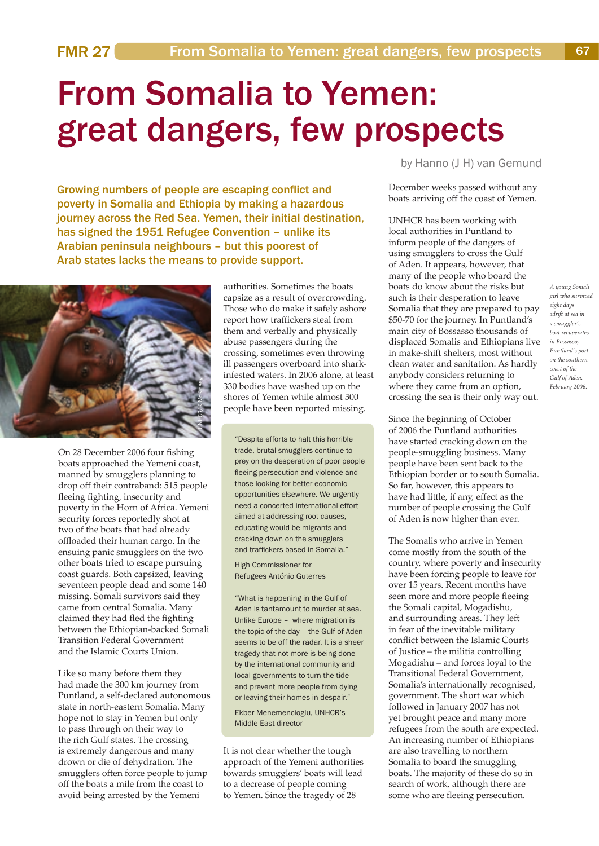## From Somalia to Yemen: great dangers, few prospects

Growing numbers of people are escaping conflict and poverty in Somalia and Ethiopia by making a hazardous journey across the Red Sea. Yemen, their initial destination, has signed the 1951 Refugee Convention – unlike its Arabian peninsula neighbours – but this poorest of Arab states lacks the means to provide support.



On 28 December 2006 four fishing boats approached the Yemeni coast, manned by smugglers planning to drop off their contraband: 515 people fleeing fighting, insecurity and poverty in the Horn of Africa. Yemeni security forces reportedly shot at two of the boats that had already offloaded their human cargo. In the ensuing panic smugglers on the two other boats tried to escape pursuing coast guards. Both capsized, leaving seventeen people dead and some 140 missing. Somali survivors said they came from central Somalia. Many claimed they had fled the fighting between the Ethiopian-backed Somali Transition Federal Government and the Islamic Courts Union.

Like so many before them they had made the 300 km journey from Puntland, a self-declared autonomous state in north-eastern Somalia. Many hope not to stay in Yemen but only to pass through on their way to the rich Gulf states. The crossing is extremely dangerous and many drown or die of dehydration. The smugglers often force people to jump off the boats a mile from the coast to avoid being arrested by the Yemeni

authorities. Sometimes the boats capsize as a result of overcrowding. Those who do make it safely ashore report how traffickers steal from them and verbally and physically abuse passengers during the crossing, sometimes even throwing ill passengers overboard into sharkinfested waters. In 2006 alone, at least 330 bodies have washed up on the shores of Yemen while almost 300 people have been reported missing.

"Despite efforts to halt this horrible trade, brutal smugglers continue to prey on the desperation of poor people fleeing persecution and violence and those looking for better economic opportunities elsewhere. We urgently need a concerted international effort aimed at addressing root causes, educating would-be migrants and cracking down on the smugglers and traffickers based in Somalia."

High Commissioner for Refugees António Guterres

"What is happening in the Gulf of Aden is tantamount to murder at sea. Unlike Europe – where migration is the topic of the day – the Gulf of Aden seems to be off the radar. It is a sheer tragedy that not more is being done by the international community and local governments to turn the tide and prevent more people from dying or leaving their homes in despair."

Ekber Menemencioglu, UNHCR's Middle East director

It is not clear whether the tough approach of the Yemeni authorities towards smugglers' boats will lead to a decrease of people coming to Yemen. Since the tragedy of 28

by Hanno (J H) van Gemund

December weeks passed without any boats arriving off the coast of Yemen.

UNHCR has been working with local authorities in Puntland to inform people of the dangers of using smugglers to cross the Gulf of Aden. It appears, however, that many of the people who board the boats do know about the risks but such is their desperation to leave Somalia that they are prepared to pay \$50-70 for the journey. In Puntland's main city of Bossasso thousands of displaced Somalis and Ethiopians live in make-shift shelters, most without clean water and sanitation. As hardly anybody considers returning to where they came from an option, crossing the sea is their only way out.

Since the beginning of October of 2006 the Puntland authorities have started cracking down on the people-smuggling business. Many people have been sent back to the Ethiopian border or to south Somalia. So far, however, this appears to have had little, if any, effect as the number of people crossing the Gulf of Aden is now higher than ever.

The Somalis who arrive in Yemen come mostly from the south of the country, where poverty and insecurity have been forcing people to leave for over 15 years. Recent months have seen more and more people fleeing the Somali capital, Mogadishu, and surrounding areas. They left in fear of the inevitable military conflict between the Islamic Courts of Justice – the militia controlling Mogadishu – and forces loyal to the Transitional Federal Government, Somalia's internationally recognised, government. The short war which followed in January 2007 has not yet brought peace and many more refugees from the south are expected. An increasing number of Ethiopians are also travelling to northern Somalia to board the smuggling boats. The majority of these do so in search of work, although there are some who are fleeing persecution.

*A young Somali girl who survived eight days adrift at sea in a smuggler's boat recuperates in Bossasso, Puntland's port on the southern coast of the Gulf of Aden. February 2006.*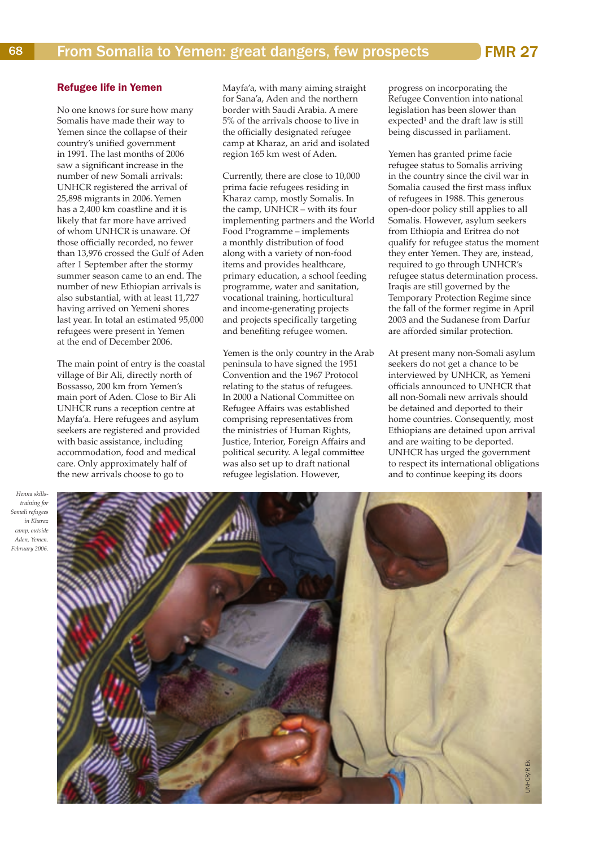No one knows for sure how many Somalis have made their way to Yemen since the collapse of their country's unified government in 1991. The last months of 2006 saw a significant increase in the number of new Somali arrivals: UNHCR registered the arrival of 25,898 migrants in 2006.Yemen has a 2,400 km coastline and it is likely that far more have arrived of whom UNHCR is unaware. Of those officially recorded, no fewer than 13,976 crossed the Gulf of Aden after 1 September after the stormy summer season came to an end. The number of new Ethiopian arrivals is also substantial, with at least 11,727 having arrived on Yemeni shores last year. In total an estimated 95,000 refugees were present in Yemen at the end of December 2006.

The main point of entry is the coastal village of Bir Ali, directly north of Bossasso, 200 km from Yemen's main port of Aden. Close to Bir Ali UNHCR runs a reception centre at Mayfa'a. Here refugees and asylum seekers are registered and provided with basic assistance, including accommodation, food and medical care. Only approximately half of the new arrivals choose to go to

Mayfa'a, with many aiming straight for Sana'a, Aden and the northern border with Saudi Arabia. A mere 5% of the arrivals choose to live in the officially designated refugee camp at Kharaz, an arid and isolated region 165 km west of Aden.

Currently, there are close to 10,000 prima facie refugees residing in Kharaz camp, mostly Somalis. In the camp, UNHCR – with its four implementing partners and the World Food Programme – implements a monthly distribution of food along with a variety of non-food items and provides healthcare, primary education, a school feeding programme, water and sanitation, vocational training, horticultural and income-generating projects and projects specifically targeting and benefiting refugee women.

Yemen is the only country in the Arab peninsula to have signed the 1951 Convention and the 1967 Protocol relating to the status of refugees. In 2000 a National Committee on Refugee Affairs was established comprising representatives from the ministries of Human Rights, Justice, Interior, Foreign Affairs and political security. A legal committee was also set up to draft national refugee legislation. However,

progress on incorporating the Refugee Convention into national legislation has been slower than  $e$ xpected<sup>1</sup> and the draft law is still being discussed in parliament.

Yemen has granted prime facie refugee status to Somalis arriving in the country since the civil war in Somalia caused the first mass influx of refugees in 1988. This generous open-door policy still applies to all Somalis. However, asylum seekers from Ethiopia and Eritrea do not qualify for refugee status the moment they enter Yemen. They are, instead, required to go through UNHCR's refugee status determination process. Iraqis are still governed by the Temporary Protection Regime since the fall of the former regime in April 2003 and the Sudanese from Darfur are afforded similar protection.

At present many non-Somali asylum seekers do not get a chance to be interviewed by UNHCR, as Yemeni officials announced to UNHCR that all non-Somali new arrivals should be detained and deported to their home countries. Consequently, most Ethiopians are detained upon arrival and are waiting to be deported. UNHCR has urged the government to respect its international obligations and to continue keeping its doors

*Henna skillstraining for Somali refugees in Kharaz camp, outside Aden, Yemen. February 2006.*